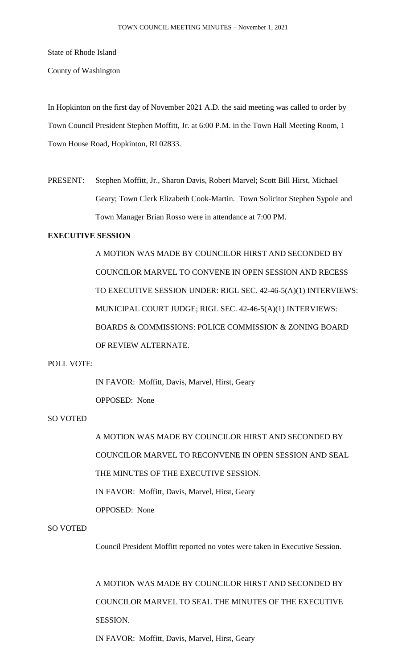State of Rhode Island

County of Washington

In Hopkinton on the first day of November 2021 A.D. the said meeting was called to order by Town Council President Stephen Moffitt, Jr. at 6:00 P.M. in the Town Hall Meeting Room, 1 Town House Road, Hopkinton, RI 02833.

PRESENT: Stephen Moffitt, Jr., Sharon Davis, Robert Marvel; Scott Bill Hirst, Michael Geary; Town Clerk Elizabeth Cook-Martin. Town Solicitor Stephen Sypole and Town Manager Brian Rosso were in attendance at 7:00 PM.

# **EXECUTIVE SESSION**

A MOTION WAS MADE BY COUNCILOR HIRST AND SECONDED BY COUNCILOR MARVEL TO CONVENE IN OPEN SESSION AND RECESS TO EXECUTIVE SESSION UNDER: RIGL SEC. 42-46-5(A)(1) INTERVIEWS: MUNICIPAL COURT JUDGE; RIGL SEC. 42-46-5(A)(1) INTERVIEWS: BOARDS & COMMISSIONS: POLICE COMMISSION & ZONING BOARD OF REVIEW ALTERNATE.

## POLL VOTE:

IN FAVOR: Moffitt, Davis, Marvel, Hirst, Geary

OPPOSED: None

# SO VOTED

A MOTION WAS MADE BY COUNCILOR HIRST AND SECONDED BY COUNCILOR MARVEL TO RECONVENE IN OPEN SESSION AND SEAL THE MINUTES OF THE EXECUTIVE SESSION. IN FAVOR: Moffitt, Davis, Marvel, Hirst, Geary OPPOSED: None

#### SO VOTED

Council President Moffitt reported no votes were taken in Executive Session.

A MOTION WAS MADE BY COUNCILOR HIRST AND SECONDED BY COUNCILOR MARVEL TO SEAL THE MINUTES OF THE EXECUTIVE SESSION.

IN FAVOR: Moffitt, Davis, Marvel, Hirst, Geary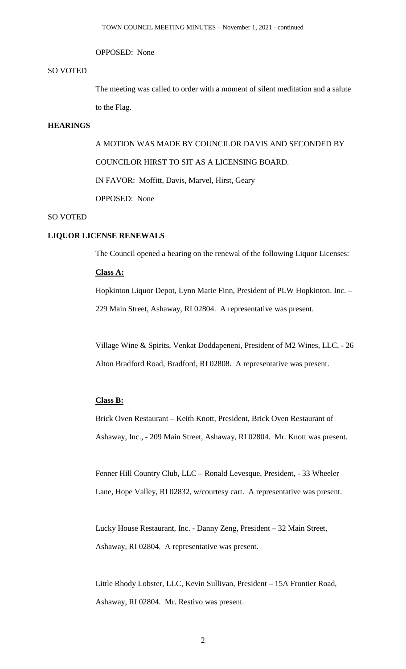#### OPPOSED: None

## SO VOTED

The meeting was called to order with a moment of silent meditation and a salute to the Flag.

## **HEARINGS**

A MOTION WAS MADE BY COUNCILOR DAVIS AND SECONDED BY COUNCILOR HIRST TO SIT AS A LICENSING BOARD. IN FAVOR: Moffitt, Davis, Marvel, Hirst, Geary OPPOSED: None

# SO VOTED

# **LIQUOR LICENSE RENEWALS**

The Council opened a hearing on the renewal of the following Liquor Licenses:

## **Class A:**

Hopkinton Liquor Depot, Lynn Marie Finn, President of PLW Hopkinton. Inc. – 229 Main Street, Ashaway, RI 02804. A representative was present.

Village Wine & Spirits, Venkat Doddapeneni, President of M2 Wines, LLC, - 26 Alton Bradford Road, Bradford, RI 02808. A representative was present.

# **Class B:**

Brick Oven Restaurant – Keith Knott, President, Brick Oven Restaurant of Ashaway, Inc., - 209 Main Street, Ashaway, RI 02804. Mr. Knott was present.

Fenner Hill Country Club, LLC – Ronald Levesque, President, - 33 Wheeler Lane, Hope Valley, RI 02832, w/courtesy cart. A representative was present.

Lucky House Restaurant, Inc. - Danny Zeng, President – 32 Main Street, Ashaway, RI 02804. A representative was present.

Little Rhody Lobster, LLC, Kevin Sullivan, President – 15A Frontier Road, Ashaway, RI 02804. Mr. Restivo was present.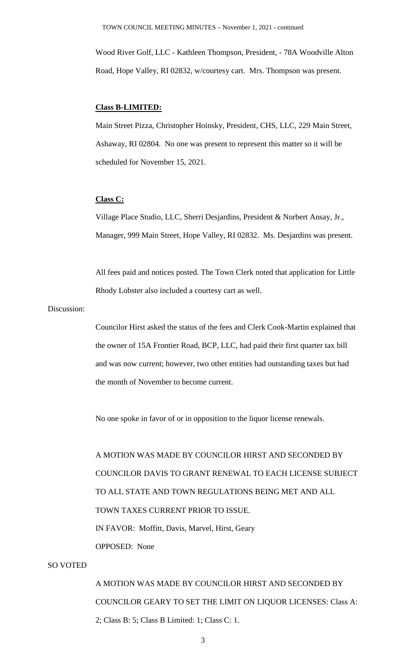Wood River Golf, LLC - Kathleen Thompson, President, - 78A Woodville Alton Road, Hope Valley, RI 02832, w/courtesy cart. Mrs. Thompson was present.

## **Class B-LIMITED:**

Main Street Pizza, Christopher Hoinsky, President, CHS, LLC, 229 Main Street, Ashaway, RI 02804. No one was present to represent this matter so it will be scheduled for November 15, 2021.

#### **Class C:**

Village Place Studio, LLC, Sherri Desjardins, President & Norbert Ansay, Jr., Manager, 999 Main Street, Hope Valley, RI 02832. Ms. Desjardins was present.

All fees paid and notices posted. The Town Clerk noted that application for Little Rhody Lobster also included a courtesy cart as well.

# Discussion:

Councilor Hirst asked the status of the fees and Clerk Cook-Martin explained that the owner of 15A Frontier Road, BCP, LLC, had paid their first quarter tax bill and was now current; however, two other entities had outstanding taxes but had the month of November to become current.

No one spoke in favor of or in opposition to the liquor license renewals.

A MOTION WAS MADE BY COUNCILOR HIRST AND SECONDED BY COUNCILOR DAVIS TO GRANT RENEWAL TO EACH LICENSE SUBJECT TO ALL STATE AND TOWN REGULATIONS BEING MET AND ALL TOWN TAXES CURRENT PRIOR TO ISSUE. IN FAVOR: Moffitt, Davis, Marvel, Hirst, Geary OPPOSED: None

# SO VOTED

A MOTION WAS MADE BY COUNCILOR HIRST AND SECONDED BY COUNCILOR GEARY TO SET THE LIMIT ON LIQUOR LICENSES: Class A: 2; Class B: 5; Class B Limited: 1; Class C: 1.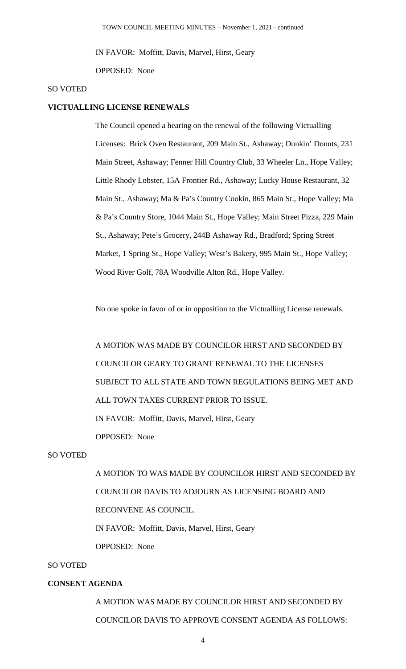IN FAVOR: Moffitt, Davis, Marvel, Hirst, Geary

OPPOSED: None

#### SO VOTED

#### **VICTUALLING LICENSE RENEWALS**

The Council opened a hearing on the renewal of the following Victualling Licenses: Brick Oven Restaurant, 209 Main St., Ashaway; Dunkin' Donuts, 231 Main Street, Ashaway; Fenner Hill Country Club, 33 Wheeler Ln., Hope Valley; Little Rhody Lobster, 15A Frontier Rd., Ashaway; Lucky House Restaurant, 32 Main St., Ashaway; Ma & Pa's Country Cookin, 865 Main St., Hope Valley; Ma & Pa's Country Store, 1044 Main St., Hope Valley; Main Street Pizza, 229 Main St., Ashaway; Pete's Grocery, 244B Ashaway Rd., Bradford; Spring Street Market, 1 Spring St., Hope Valley; West's Bakery, 995 Main St., Hope Valley; Wood River Golf, 78A Woodville Alton Rd., Hope Valley.

No one spoke in favor of or in opposition to the Victualling License renewals.

A MOTION WAS MADE BY COUNCILOR HIRST AND SECONDED BY COUNCILOR GEARY TO GRANT RENEWAL TO THE LICENSES SUBJECT TO ALL STATE AND TOWN REGULATIONS BEING MET AND ALL TOWN TAXES CURRENT PRIOR TO ISSUE. IN FAVOR: Moffitt, Davis, Marvel, Hirst, Geary OPPOSED: None

## SO VOTED

A MOTION TO WAS MADE BY COUNCILOR HIRST AND SECONDED BY COUNCILOR DAVIS TO ADJOURN AS LICENSING BOARD AND RECONVENE AS COUNCIL. IN FAVOR: Moffitt, Davis, Marvel, Hirst, Geary OPPOSED: None

# SO VOTED

## **CONSENT AGENDA**

A MOTION WAS MADE BY COUNCILOR HIRST AND SECONDED BY COUNCILOR DAVIS TO APPROVE CONSENT AGENDA AS FOLLOWS: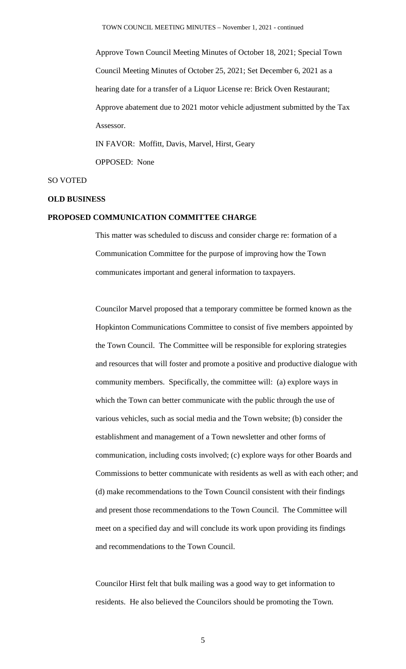Approve Town Council Meeting Minutes of October 18, 2021; Special Town Council Meeting Minutes of October 25, 2021; Set December 6, 2021 as a hearing date for a transfer of a Liquor License re: Brick Oven Restaurant; Approve abatement due to 2021 motor vehicle adjustment submitted by the Tax Assessor. IN FAVOR: Moffitt, Davis, Marvel, Hirst, Geary

OPPOSED: None

#### SO VOTED

#### **OLD BUSINESS**

## **PROPOSED COMMUNICATION COMMITTEE CHARGE**

This matter was scheduled to discuss and consider charge re: formation of a Communication Committee for the purpose of improving how the Town communicates important and general information to taxpayers.

Councilor Marvel proposed that a temporary committee be formed known as the Hopkinton Communications Committee to consist of five members appointed by the Town Council. The Committee will be responsible for exploring strategies and resources that will foster and promote a positive and productive dialogue with community members. Specifically, the committee will: (a) explore ways in which the Town can better communicate with the public through the use of various vehicles, such as social media and the Town website; (b) consider the establishment and management of a Town newsletter and other forms of communication, including costs involved; (c) explore ways for other Boards and Commissions to better communicate with residents as well as with each other; and (d) make recommendations to the Town Council consistent with their findings and present those recommendations to the Town Council. The Committee will meet on a specified day and will conclude its work upon providing its findings and recommendations to the Town Council.

Councilor Hirst felt that bulk mailing was a good way to get information to residents. He also believed the Councilors should be promoting the Town.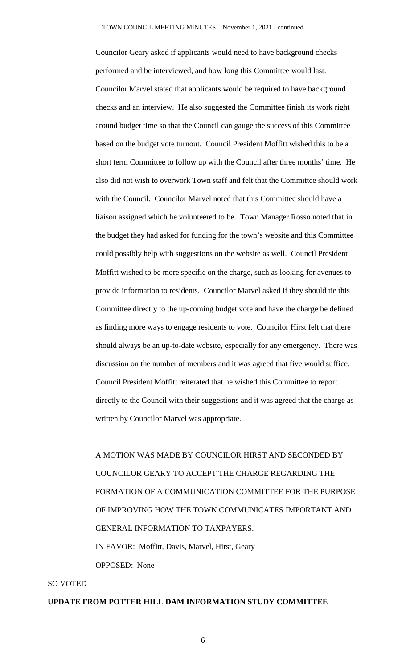Councilor Geary asked if applicants would need to have background checks performed and be interviewed, and how long this Committee would last. Councilor Marvel stated that applicants would be required to have background checks and an interview. He also suggested the Committee finish its work right around budget time so that the Council can gauge the success of this Committee based on the budget vote turnout. Council President Moffitt wished this to be a short term Committee to follow up with the Council after three months' time. He also did not wish to overwork Town staff and felt that the Committee should work with the Council. Councilor Marvel noted that this Committee should have a liaison assigned which he volunteered to be. Town Manager Rosso noted that in the budget they had asked for funding for the town's website and this Committee could possibly help with suggestions on the website as well. Council President Moffitt wished to be more specific on the charge, such as looking for avenues to provide information to residents. Councilor Marvel asked if they should tie this Committee directly to the up-coming budget vote and have the charge be defined as finding more ways to engage residents to vote. Councilor Hirst felt that there should always be an up-to-date website, especially for any emergency. There was discussion on the number of members and it was agreed that five would suffice. Council President Moffitt reiterated that he wished this Committee to report directly to the Council with their suggestions and it was agreed that the charge as written by Councilor Marvel was appropriate.

A MOTION WAS MADE BY COUNCILOR HIRST AND SECONDED BY COUNCILOR GEARY TO ACCEPT THE CHARGE REGARDING THE FORMATION OF A COMMUNICATION COMMITTEE FOR THE PURPOSE OF IMPROVING HOW THE TOWN COMMUNICATES IMPORTANT AND GENERAL INFORMATION TO TAXPAYERS. IN FAVOR: Moffitt, Davis, Marvel, Hirst, Geary OPPOSED: None

#### SO VOTED

#### **UPDATE FROM POTTER HILL DAM INFORMATION STUDY COMMITTEE**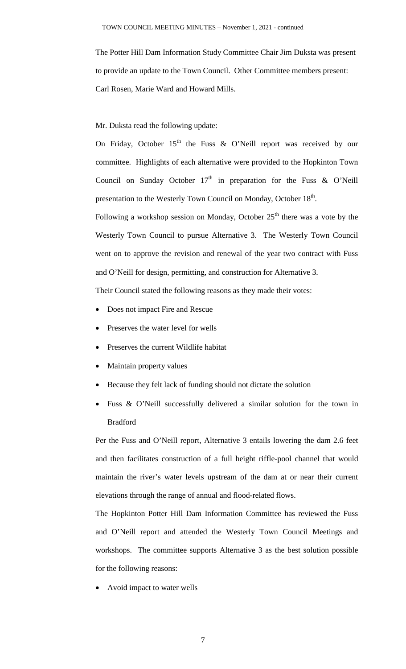The Potter Hill Dam Information Study Committee Chair Jim Duksta was present to provide an update to the Town Council. Other Committee members present: Carl Rosen, Marie Ward and Howard Mills.

Mr. Duksta read the following update:

On Friday, October  $15<sup>th</sup>$  the Fuss & O'Neill report was received by our committee. Highlights of each alternative were provided to the Hopkinton Town Council on Sunday October  $17<sup>th</sup>$  in preparation for the Fuss & O'Neill presentation to the Westerly Town Council on Monday, October 18<sup>th</sup>.

Following a workshop session on Monday, October  $25<sup>th</sup>$  there was a vote by the Westerly Town Council to pursue Alternative 3. The Westerly Town Council went on to approve the revision and renewal of the year two contract with Fuss and O'Neill for design, permitting, and construction for Alternative 3.

Their Council stated the following reasons as they made their votes:

- Does not impact Fire and Rescue
- Preserves the water level for wells
- Preserves the current Wildlife habitat
- Maintain property values
- Because they felt lack of funding should not dictate the solution
- Fuss & O'Neill successfully delivered a similar solution for the town in Bradford

Per the Fuss and O'Neill report, Alternative 3 entails lowering the dam 2.6 feet and then facilitates construction of a full height riffle-pool channel that would maintain the river's water levels upstream of the dam at or near their current elevations through the range of annual and flood-related flows.

The Hopkinton Potter Hill Dam Information Committee has reviewed the Fuss and O'Neill report and attended the Westerly Town Council Meetings and workshops. The committee supports Alternative 3 as the best solution possible for the following reasons:

• Avoid impact to water wells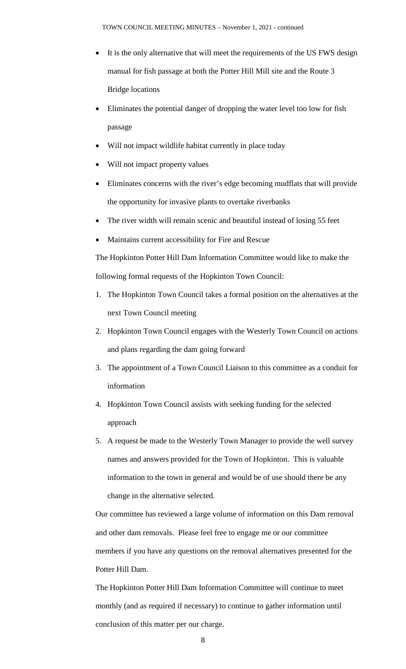- It is the only alternative that will meet the requirements of the US FWS design manual for fish passage at both the Potter Hill Mill site and the Route 3 Bridge locations
- Eliminates the potential danger of dropping the water level too low for fish passage
- Will not impact wildlife habitat currently in place today
- Will not impact property values
- Eliminates concerns with the river's edge becoming mudflats that will provide the opportunity for invasive plants to overtake riverbanks
- The river width will remain scenic and beautiful instead of losing 55 feet
- Maintains current accessibility for Fire and Rescue

The Hopkinton Potter Hill Dam Information Committee would like to make the following formal requests of the Hopkinton Town Council:

- 1. The Hopkinton Town Council takes a formal position on the alternatives at the next Town Council meeting
- 2. Hopkinton Town Council engages with the Westerly Town Council on actions and plans regarding the dam going forward
- 3. The appointment of a Town Council Liaison to this committee as a conduit for information
- 4. Hopkinton Town Council assists with seeking funding for the selected approach
- 5. A request be made to the Westerly Town Manager to provide the well survey names and answers provided for the Town of Hopkinton. This is valuable information to the town in general and would be of use should there be any change in the alternative selected.

Our committee has reviewed a large volume of information on this Dam removal and other dam removals. Please feel free to engage me or our committee members if you have any questions on the removal alternatives presented for the Potter Hill Dam.

The Hopkinton Potter Hill Dam Information Committee will continue to meet monthly (and as required if necessary) to continue to gather information until conclusion of this matter per our charge.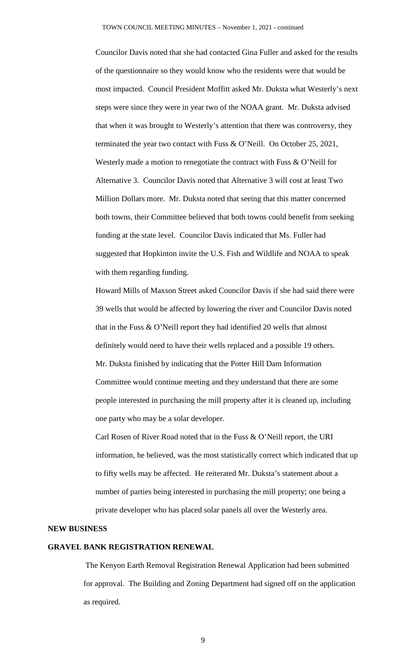Councilor Davis noted that she had contacted Gina Fuller and asked for the results of the questionnaire so they would know who the residents were that would be most impacted. Council President Moffitt asked Mr. Duksta what Westerly's next steps were since they were in year two of the NOAA grant. Mr. Duksta advised that when it was brought to Westerly's attention that there was controversy, they terminated the year two contact with Fuss & O'Neill. On October 25, 2021, Westerly made a motion to renegotiate the contract with Fuss & O'Neill for Alternative 3. Councilor Davis noted that Alternative 3 will cost at least Two Million Dollars more. Mr. Duksta noted that seeing that this matter concerned both towns, their Committee believed that both towns could benefit from seeking funding at the state level. Councilor Davis indicated that Ms. Fuller had suggested that Hopkinton invite the U.S. Fish and Wildlife and NOAA to speak with them regarding funding.

Howard Mills of Maxson Street asked Councilor Davis if she had said there were 39 wells that would be affected by lowering the river and Councilor Davis noted that in the Fuss & O'Neill report they had identified 20 wells that almost definitely would need to have their wells replaced and a possible 19 others. Mr. Duksta finished by indicating that the Potter Hill Dam Information Committee would continue meeting and they understand that there are some people interested in purchasing the mill property after it is cleaned up, including one party who may be a solar developer.

Carl Rosen of River Road noted that in the Fuss & O'Neill report, the URI information, he believed, was the most statistically correct which indicated that up to fifty wells may be affected. He reiterated Mr. Duksta's statement about a number of parties being interested in purchasing the mill property; one being a private developer who has placed solar panels all over the Westerly area.

#### **NEW BUSINESS**

## **GRAVEL BANK REGISTRATION RENEWAL**

The Kenyon Earth Removal Registration Renewal Application had been submitted for approval. The Building and Zoning Department had signed off on the application as required.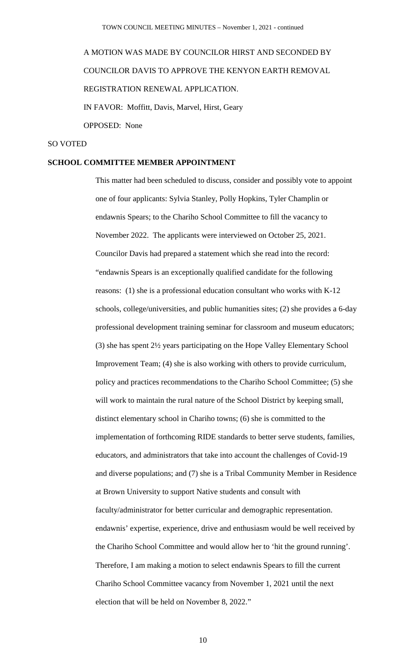# A MOTION WAS MADE BY COUNCILOR HIRST AND SECONDED BY COUNCILOR DAVIS TO APPROVE THE KENYON EARTH REMOVAL REGISTRATION RENEWAL APPLICATION. IN FAVOR: Moffitt, Davis, Marvel, Hirst, Geary

OPPOSED: None

## SO VOTED

## **SCHOOL COMMITTEE MEMBER APPOINTMENT**

This matter had been scheduled to discuss, consider and possibly vote to appoint one of four applicants: Sylvia Stanley, Polly Hopkins, Tyler Champlin or endawnis Spears; to the Chariho School Committee to fill the vacancy to November 2022. The applicants were interviewed on October 25, 2021. Councilor Davis had prepared a statement which she read into the record: "endawnis Spears is an exceptionally qualified candidate for the following reasons: (1) she is a professional education consultant who works with K-12 schools, college/universities, and public humanities sites; (2) she provides a 6-day professional development training seminar for classroom and museum educators; (3) she has spent 2½ years participating on the Hope Valley Elementary School Improvement Team; (4) she is also working with others to provide curriculum, policy and practices recommendations to the Chariho School Committee; (5) she will work to maintain the rural nature of the School District by keeping small, distinct elementary school in Chariho towns; (6) she is committed to the implementation of forthcoming RIDE standards to better serve students, families, educators, and administrators that take into account the challenges of Covid-19 and diverse populations; and (7) she is a Tribal Community Member in Residence at Brown University to support Native students and consult with faculty/administrator for better curricular and demographic representation. endawnis' expertise, experience, drive and enthusiasm would be well received by the Chariho School Committee and would allow her to 'hit the ground running'. Therefore, I am making a motion to select endawnis Spears to fill the current Chariho School Committee vacancy from November 1, 2021 until the next election that will be held on November 8, 2022."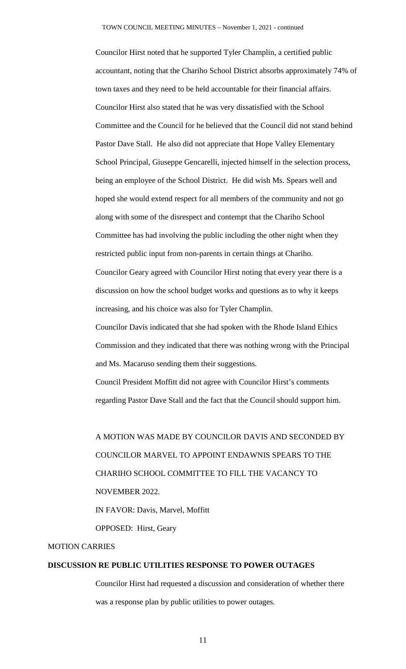Councilor Hirst noted that he supported Tyler Champlin, a certified public accountant, noting that the Chariho School District absorbs approximately 74% of town taxes and they need to be held accountable for their financial affairs. Councilor Hirst also stated that he was very dissatisfied with the School Committee and the Council for he believed that the Council did not stand behind Pastor Dave Stall. He also did not appreciate that Hope Valley Elementary School Principal, Giuseppe Gencarelli, injected himself in the selection process, being an employee of the School District. He did wish Ms. Spears well and hoped she would extend respect for all members of the community and not go along with some of the disrespect and contempt that the Chariho School Committee has had involving the public including the other night when they restricted public input from non-parents in certain things at Chariho. Councilor Geary agreed with Councilor Hirst noting that every year there is a discussion on how the school budget works and questions as to why it keeps increasing, and his choice was also for Tyler Champlin. Councilor Davis indicated that she had spoken with the Rhode Island Ethics Commission and they indicated that there was nothing wrong with the Principal and Ms. Macaruso sending them their suggestions. Council President Moffitt did not agree with Councilor Hirst's comments

regarding Pastor Dave Stall and the fact that the Council should support him.

A MOTION WAS MADE BY COUNCILOR DAVIS AND SECONDED BY COUNCILOR MARVEL TO APPOINT ENDAWNIS SPEARS TO THE CHARIHO SCHOOL COMMITTEE TO FILL THE VACANCY TO NOVEMBER 2022. IN FAVOR: Davis, Marvel, Moffitt

OPPOSED: Hirst, Geary

# MOTION CARRIES

# **DISCUSSION RE PUBLIC UTILITIES RESPONSE TO POWER OUTAGES**

Councilor Hirst had requested a discussion and consideration of whether there was a response plan by public utilities to power outages.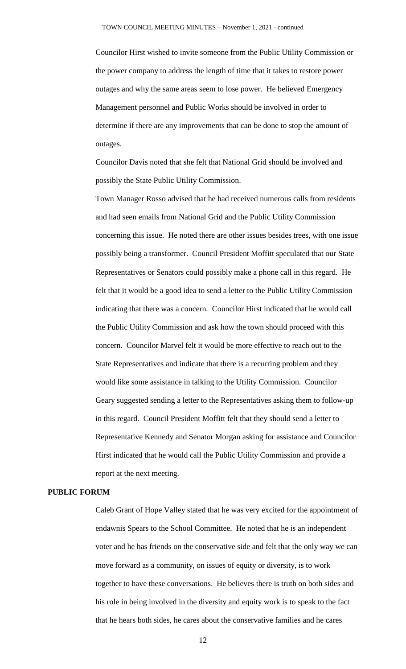Councilor Hirst wished to invite someone from the Public Utility Commission or the power company to address the length of time that it takes to restore power outages and why the same areas seem to lose power. He believed Emergency Management personnel and Public Works should be involved in order to determine if there are any improvements that can be done to stop the amount of outages.

Councilor Davis noted that she felt that National Grid should be involved and possibly the State Public Utility Commission.

Town Manager Rosso advised that he had received numerous calls from residents and had seen emails from National Grid and the Public Utility Commission concerning this issue. He noted there are other issues besides trees, with one issue possibly being a transformer. Council President Moffitt speculated that our State Representatives or Senators could possibly make a phone call in this regard. He felt that it would be a good idea to send a letter to the Public Utility Commission indicating that there was a concern. Councilor Hirst indicated that he would call the Public Utility Commission and ask how the town should proceed with this concern. Councilor Marvel felt it would be more effective to reach out to the State Representatives and indicate that there is a recurring problem and they would like some assistance in talking to the Utility Commission. Councilor Geary suggested sending a letter to the Representatives asking them to follow-up in this regard. Council President Moffitt felt that they should send a letter to Representative Kennedy and Senator Morgan asking for assistance and Councilor Hirst indicated that he would call the Public Utility Commission and provide a report at the next meeting.

## **PUBLIC FORUM**

Caleb Grant of Hope Valley stated that he was very excited for the appointment of endawnis Spears to the School Committee. He noted that he is an independent voter and he has friends on the conservative side and felt that the only way we can move forward as a community, on issues of equity or diversity, is to work together to have these conversations. He believes there is truth on both sides and his role in being involved in the diversity and equity work is to speak to the fact that he hears both sides, he cares about the conservative families and he cares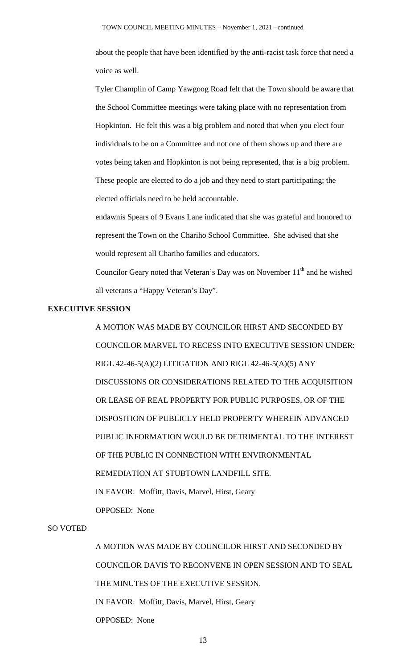about the people that have been identified by the anti-racist task force that need a voice as well.

Tyler Champlin of Camp Yawgoog Road felt that the Town should be aware that the School Committee meetings were taking place with no representation from Hopkinton. He felt this was a big problem and noted that when you elect four individuals to be on a Committee and not one of them shows up and there are votes being taken and Hopkinton is not being represented, that is a big problem. These people are elected to do a job and they need to start participating; the elected officials need to be held accountable.

endawnis Spears of 9 Evans Lane indicated that she was grateful and honored to represent the Town on the Chariho School Committee. She advised that she would represent all Chariho families and educators.

Councilor Geary noted that Veteran's Day was on November  $11<sup>th</sup>$  and he wished all veterans a "Happy Veteran's Day".

# **EXECUTIVE SESSION**

A MOTION WAS MADE BY COUNCILOR HIRST AND SECONDED BY COUNCILOR MARVEL TO RECESS INTO EXECUTIVE SESSION UNDER: RIGL 42-46-5(A)(2) LITIGATION AND RIGL 42-46-5(A)(5) ANY DISCUSSIONS OR CONSIDERATIONS RELATED TO THE ACQUISITION OR LEASE OF REAL PROPERTY FOR PUBLIC PURPOSES, OR OF THE DISPOSITION OF PUBLICLY HELD PROPERTY WHEREIN ADVANCED PUBLIC INFORMATION WOULD BE DETRIMENTAL TO THE INTEREST OF THE PUBLIC IN CONNECTION WITH ENVIRONMENTAL REMEDIATION AT STUBTOWN LANDFILL SITE. IN FAVOR: Moffitt, Davis, Marvel, Hirst, Geary OPPOSED: None

#### SO VOTED

A MOTION WAS MADE BY COUNCILOR HIRST AND SECONDED BY COUNCILOR DAVIS TO RECONVENE IN OPEN SESSION AND TO SEAL THE MINUTES OF THE EXECUTIVE SESSION. IN FAVOR: Moffitt, Davis, Marvel, Hirst, Geary OPPOSED: None